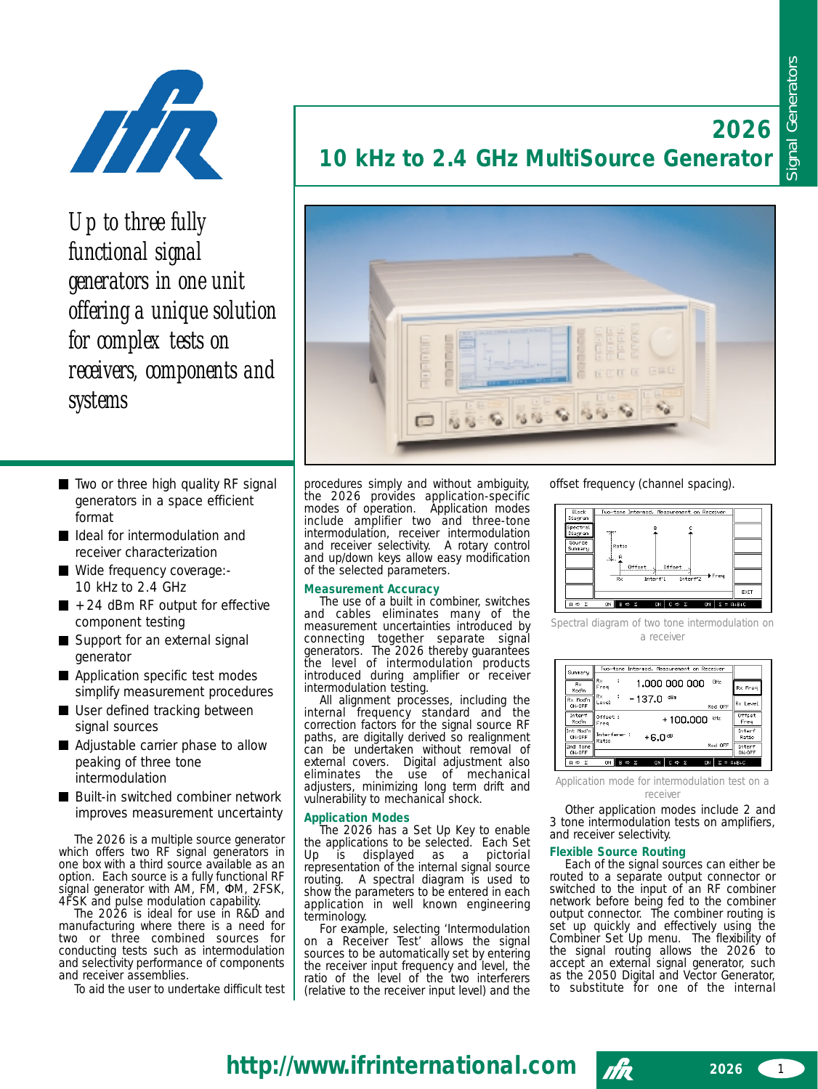**2026**



*Up to three fully functional signal generators in one unit offering a unique solution for complex tests on receivers, components and systems*

- Two or three high quality RF signal generators in a space efficient format
- I Ideal for intermodulation and receiver characterization
- Wide frequency coverage:-10 kHz to 2.4 GHz
- $\blacksquare$  +24 dBm RF output for effective component testing
- Support for an external signal generator
- **Application specific test modes** simplify measurement procedures
- User defined tracking between signal sources
- Adjustable carrier phase to allow peaking of three tone intermodulation
- Built-in switched combiner network improves measurement uncertainty

The 2026 is a multiple source generator which offers two RF signal generators in one box with a third source available as an option. Each source is a fully functional RF signal generator with AM, FM, ΦM, 2FSK, 4FSK and pulse modulation capability.

The 2026 is ideal for use in R&D and manufacturing where there is a need for two or three combined sources for conducting tests such as intermodulation and selectivity performance of components and receiver assemblies.

To aid the user to undertake difficult test

# **10 kHz to 2.4 GHz MultiSource Generator**



procedures simply and without ambiguity, the 2026 provides application-specific modes of operation. Application modes include amplifier two and three-tone intermodulation, receiver intermodulation and receiver selectivity. A rotary control and up/down keys allow easy modification of the selected parameters.

# **Measurement Accuracy**

The use of a built in combiner, switches and cables eliminates many of the measurement uncertainties introduced by connecting together separate signal generators. The 2026 thereby guarantees the level of intermodulation products introduced during amplifier or receiver intermodulation testing.

All alignment processes, including the internal frequency standard and the correction factors for the signal source RF paths, are digitally derived so realignment can be undertaken without removal of external covers. Digital adjustment also eliminates the use of mechanical adjusters, minimizing long term drift and vulnerability to mechanical shock.

# **Application Modes**

The 2026 has a Set Up Key to enable the applications to be selected. Each Set Up is displayed as a pictorial representation of the internal signal source routing. A spectral diagram is used to show the parameters to be entered in each application in well known engineering terminology.

For example, selecting 'Intermodulation on a Receiver Test' allows the signal sources to be automatically set by entering the receiver input frequency and level, the ratio of the level of the two interferers (relative to the receiver input level) and the

offset frequency (channel spacing).



*Spectral diagram of two tone intermodulation on a receiver*



*Application mode for intermodulation test on a receiver*

Other application modes include 2 and 3 tone intermodulation tests on amplifiers, and receiver selectivity.

# **Flexible Source Routing**

Each of the signal sources can either be routed to a separate output connector or switched to the input of an RF combiner network before being fed to the combiner output connector. The combiner routing is set up quickly and effectively using the Combiner Set Up menu. The flexibility of the signal routing allows the 2026 to accept an external signal generator, such as the 2050 Digital and Vector Generator, to substitute for one of the internal

**http://www.ifrinternational.com** 

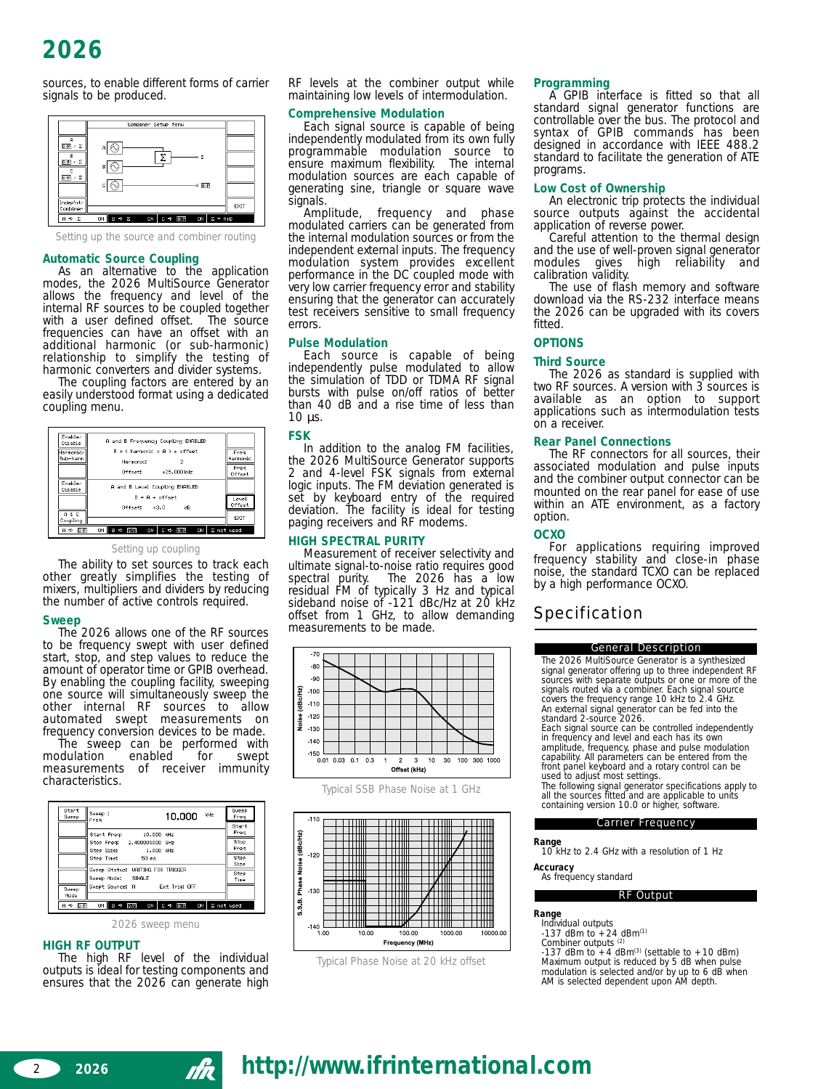sources, to enable different forms of carrier signals to be produced.



*Setting up the source and combiner routing*

# **Automatic Source Coupling**

As an alternative to the application modes, the 2026 MultiSource Generator allows the frequency and level of the internal RF sources to be coupled together<br>with a user defined offset. The source with a user defined offset. frequencies can have an offset with an additional harmonic (or sub-harmonic) relationship to simplify the testing of harmonic converters and divider systems.

The coupling factors are entered by an easily understood format using a dedicated coupling menu.

| Fnablez<br>Disable  | A and B Frequency Coupling ENABLED                           |                |
|---------------------|--------------------------------------------------------------|----------------|
| Harmonic/           | $R = 0$ harmonic $x(0) + 0$ fiset                            | Free           |
| Sub-harm            | Harmonic:<br>2                                               | Harmonic       |
|                     | Offset:<br>$+25.000$ kHz                                     | Freq<br>Offset |
| Enable/<br>Disable  | A and B Level Coupling ENABLED                               |                |
|                     | $B = A + of fast$                                            | Level          |
|                     | $0$ ffset: $+3.0$<br>dB                                      | Offset         |
| A & C<br>Coupling   |                                                              | EXIT           |
| $A \Rightarrow 107$ | ON<br>B ⇔<br>ON<br>C ⇔<br>ON I<br><b>GzP</b><br>$D \times R$ | Σ not used     |

#### *Setting up coupling*

The ability to set sources to track each other greatly simplifies the testing of mixers, multipliers and dividers by reducing the number of active controls required.

# **Sweep**

The 2026 allows one of the RF sources to be frequency swept with user defined start, stop, and step values to reduce the amount of operator time or GPIB overhead. By enabling the coupling facility, sweeping one source will simultaneously sweep the other internal RF sources to allow automated swept measurements on frequency conversion devices to be made.

The sweep can be performed with<br>dulation cenabled for swept modulation enablements of receiver immunity characteristics.

| Start<br>Sweep                                       | Sweep :<br>kHz<br>10.000<br>Freq                                                                          | Sweep<br>Freq<br>Start       |
|------------------------------------------------------|-----------------------------------------------------------------------------------------------------------|------------------------------|
|                                                      | Start Freq:<br>10.000 kHz<br>Stop Freq: 2.400000000 GHz<br>Step Size:<br>1,000 kHz<br>Step Time:<br>50 ms | Freq<br>Stop<br>Freq<br>Step |
|                                                      | Sweep Status: WAITING FOR TRIGGER<br>Sweep Mode: SINGLE<br>Swept Source: A Ext Trig: OFF                  | Size<br>Step<br>Time         |
| Sueep<br>Mode<br>$A \Leftrightarrow$ $\overline{OP}$ | ON<br>$0$ <sub>/P</sub><br>ON I<br>$C \Rightarrow 0$<br>B⇒<br>ON                                          | Σ not used                   |

*2026 sweep menu*

# **HIGH RF OUTPUT**

The high RF level of the individual outputs is ideal for testing components and ensures that the 2026 can generate high

RF levels at the combiner output while maintaining low levels of intermodulation.

# **Comprehensive Modulation**

Each signal source is capable of being independently modulated from its own fully programmable modulation source to ensure maximum flexibility. The internal modulation sources are each capable of generating sine, triangle or square wave signals.<br>Amplitude,

frequency and phase modulated carriers can be generated from the internal modulation sources or from the independent external inputs. The frequency modulation system provides excellent performance in the DC coupled mode with very low carrier frequency error and stability ensuring that the generator can accurately test receivers sensitive to small frequency errors.

# **Pulse Modulation**

Each source is capable of being independently pulse modulated to allow the simulation of TDD or TDMA RF signal bursts with pulse on/off ratios of better than 40 dB and a rise time of less than 10 µs.

#### **FSK**

In addition to the analog FM facilities, the 2026 MultiSource Generator supports 2 and 4-level FSK signals from external logic inputs. The FM deviation generated is set by keyboard entry of the required deviation. The facility is ideal for testing paging receivers and RF modems.

# **HIGH SPECTRAL PURITY**

Measurement of receiver selectivity and ultimate signal-to-noise ratio requires good<br>spectral purity. The 2026 has a low The  $2026$  has a low residual FM of typically 3 Hz and typical sideband noise of -121 dBc/Hz at 20 kHz offset from 1 GHz, to allow demanding measurements to be made.



*Typical SSB Phase Noise at 1 GHz*



*Typical Phase Noise at 20 kHz offset*

# **Programming**

A GPIB interface is fitted so that all standard signal generator functions are controllable over the bus. The protocol and syntax of GPIB commands has been designed in accordance with IEEE 488.2 standard to facilitate the generation of ATE programs.

# **Low Cost of Ownership**

An electronic trip protects the individual source outputs against the accidental application of reverse power.

Careful attention to the thermal design and the use of well-proven signal generator<br>modules gives high reliability and high reliability and calibration validity.

The use of flash memory and software download via the RS-232 interface means the 2026 can be upgraded with its covers fitted.

# **OPTIONS**

# **Third Source**

The 2026 as standard is supplied with two RF sources. A version with 3 sources is available as an option to support applications such as intermodulation tests on a receiver.

# **Rear Panel Connections**

The RF connectors for all sources, their associated modulation and pulse inputs and the combiner output connector can be mounted on the rear panel for ease of use within an ATE environment, as a factory option.

# **OCXO**

For applications requiring improved frequency stability and close-in phase noise, the standard TCXO can be replaced by a high performance OCXO.

# Specification

# General Description

The 2026 MultiSource Generator is a synthesized signal generator offering up to three independent RF sources with separate outputs or one or more of the signals routed via a combiner. Each signal source covers the frequency range 10 kHz to 2.4 GHz. An external signal generator can be fed into the standard 2-source 2026.

Each signal source can be controlled independently in frequency and level and each has its own amplitude, frequency, phase and pulse modulation capability. All parameters can be entered from the front panel keyboard and a rotary control can be used to adjust most settings.

The following signal generator specifications apply to all the sources fitted and are applicable to units containing version 10.0 or higher, software.

#### Carrier Frequency

# **Range**

10 kHz to 2.4 GHz with a resolution of 1 Hz **Accuracy**

#### As frequency standard

RF Output

### **Range**

- Individual outputs -137 dBm to +24 dBm(1)
- Combiner outputs (2)

-137 dBm to +4 dBm<sup>(3)</sup> (settable to +10 dBm)<br>Maximum output is reduced by 5 dB when pulse modulation is selected and/or by up to 6 dB when AM is selected dependent upon AM depth.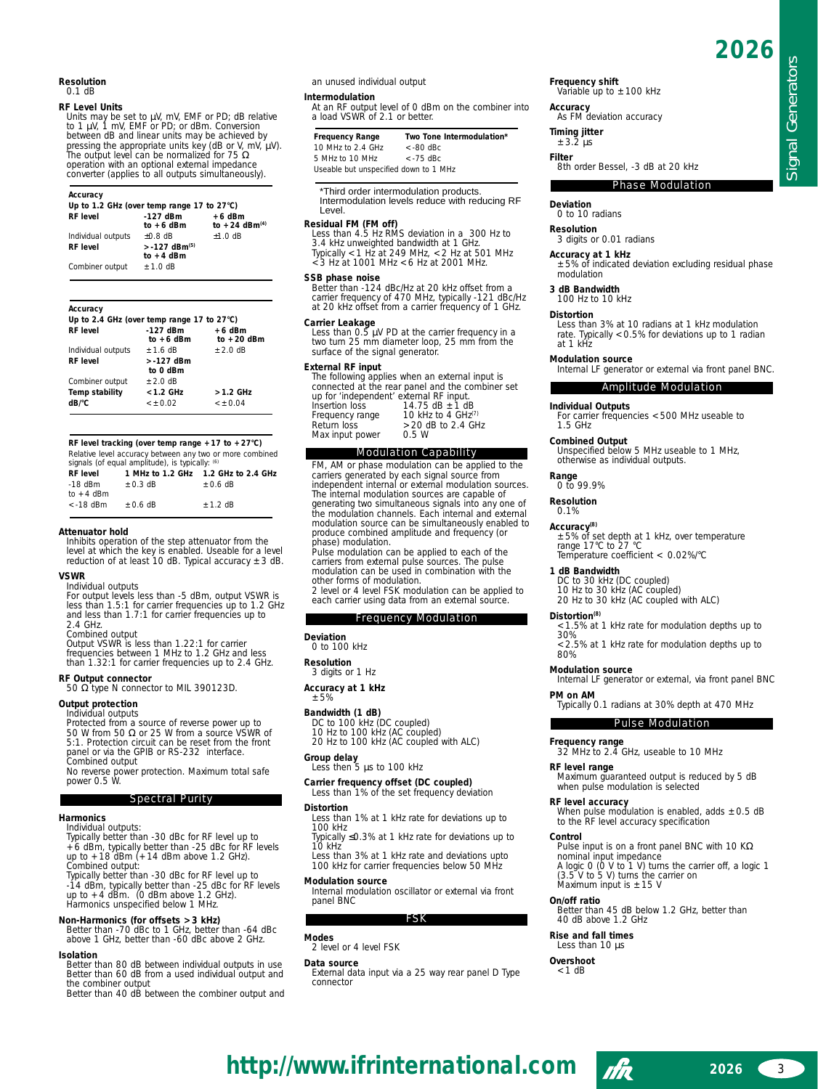Signal Generators

Signal Generators

#### **Resolution** 0.1 dB

### **RF Level Units**

Units may be set to µV, mV, EMF or PD; dB relative to 1 µV, 1 mV, EMF or PD; or dBm. Conversion between dB and linear units may be achieved by pressing the appropriate units key (dB or V, mV, µV). The output level can be normalized for 75 Ω operation with an optional external impedance converter (applies to all outputs simultaneously).

### *Accuracy*

| Up to 1.2 GHz (over temp range 17 to $27^{\circ}$ C) |                             |                                       |
|------------------------------------------------------|-----------------------------|---------------------------------------|
| <b>RF</b> level                                      | $-127$ dBm<br>to $+6$ dBm   | $+6$ dBm<br>to +24 dBm <sup>(4)</sup> |
| Individual outputs                                   | $+0.8$ dB                   | $±1.0$ dB                             |
| <b>RF</b> level                                      | $> -127$ dBm <sup>(5)</sup> |                                       |
|                                                      | to $+4$ dBm                 |                                       |
| Combiner output                                      | $±1.0$ dB                   |                                       |

#### *Accuracy*

| Up to 2.4 GHz (over temp range 17 to $27^{\circ}$ C) |                          |
|------------------------------------------------------|--------------------------|
| $-127$ dBm<br>to $+6$ dBm                            | $+6$ dBm<br>to $+20$ dBm |
| $+1.6$ dB                                            | $\pm 2.0$ dB             |
| $> -127$ dBm<br>to 0 dBm                             |                          |
| $+2.0$ dB                                            |                          |
| $<$ 1.2 GHz                                          | $>1.2$ GHz               |
| < 10.02                                              | < 10.04                  |
|                                                      |                          |

*RF level tracking (over temp range +17 to +27°C)* Relative level accuracy between any two or more combined signals (of equal amplitude), is typically: <sup>(6)</sup><br>*RF level 1 MHz to 1.2 GHz 1.2 GHz to 2.4 GHz* 

| <i><b>RF</b></i> level |           |           |
|------------------------|-----------|-----------|
| $-18$ dBm              | $+0.3$ dB | $+0.6$ dB |
| to $+4$ dBm            |           |           |
| $<$ -18 dBm            | $+0.6$ dB | $+1.2$ dB |

#### **Attenuator hold**

Inhibits operation of the step attenuator from the level at which the key is enabled. Useable for a level reduction of at least 10 dB. Typical accuracy ±3 dB.

# **VSWR**

Individual outputs For output levels less than -5 dBm, output VSWR is less than 1.5:1 for carrier frequencies up to 1.2 GHz and less than 1.7:1 for carrier frequencies up to 2.4 GHz.

Combined output

Output VSWR is less than 1.22:1 for carrier frequencies between 1 MHz to 1.2 GHz and less than 1.32:1 for carrier frequencies up to 2.4 GHz.

**RF Output connector**

50 Ω type N connector to MIL 390123D.

# **Output protection**

Individual outputs Protected from a source of reverse power up to 50 W from 50 Ω or 25 W from a source VSWR of 5:1. Protection circuit can be reset from the front panel or via the GPIB or RS-232 interface. Combined output

No reverse power protection. Maximum total safe power 0.5 W.

# Spectral Purity

#### **Harmonics** Individual outputs:

Typically better than -30 dBc for RF level up to +6 dBm, typically better than -25 dBc for RF levels up to +18 dBm (+14 dBm above 1.2 GHz).

Combined output: Typically better than -30 dBc for RF level up to -14 dBm, typically better than -25 dBc for RF levels up to +4 dBm. (0 dBm above 1.2 GHz). Harmonics unspecified below 1 MHz.

**Non-Harmonics (for offsets >3 kHz)**  Better than -70 dBc to 1 GHz, better than -64 dBc above 1 GHz, better than -60 dBc above 2 GHz.

#### **Isolation**

Better than 80 dB between individual outputs in use Better than 60 dB from a used individual output and the combiner output Better than 40 dB between the combiner output and an unused individual output

### **Intermodulation**

At an RF output level of 0 dBm on the combiner into a load VSWR of 2.1 or better.

| <b>Frequency Range</b>                | Two Tone Intermodulation* |
|---------------------------------------|---------------------------|
| 10 MHz to 2.4 GHz                     | $<$ -80 dBc               |
| 5 MHz to 10 MHz                       | $<$ -75 dBc.              |
| Useable but unspecified down to 1 MHz |                           |

# \*Third order intermodulation products.

Intermodulation levels reduce with reducing RF Level.

**Residual FM (FM off)** Less than 4.5 Hz RMS deviation in a 300 Hz to 3.4 kHz unweighted bandwidth at 1 GHz. Typically <1 Hz at 249 MHz, <2 Hz at 501 MHz <3 Hz at 1001 MHz <6 Hz at 2001 MHz.

**SSB phase noise** Better than -124 dBc/Hz at 20 kHz offset from a carrier frequency of 470 MHz, typically -121 dBc/Hz at 20 kHz offset from a carrier frequency of 1 GHz.

Carrier Leakage<br>
Less than 0.5 µV PD at the carrier frequency in a<br>
two turn 25 mm diameter loop, 25 mm from the<br>
surface of the signal generator.

### **External RF input**

The following applies when an external input is connected at the rear panel and the combiner set<br>up for 'independent' external RF input.<br>Insertion loss 14.75 dB ±1 dB<br>Frequency range 10 kHz to 4 GHz<sup>(7)</sup> Frequency range  $10 \text{ kHz}$  to 4 GHz<sup>(7)</sup><br>Return loss  $>20 \text{ dB}$  to 2.4 GHz<br>Max input power 0.5 W Max input power

# Modulation Capability

FM, AM or phase modulation can be applied to the carriers generated by each signal source from independent internal or external modulation sources. The internal modulation sources are capable of generating two simultaneous signals into any one of the modulation channels. Each internal and external modulation source can be simultaneously enabled to produce combined amplitude and frequency (or phase) modulation.

Pulse modulation can be applied to each of the carriers from external pulse sources. The pulse modulation can be used in combination with the other forms of modulation.

2 level or 4 level FSK modulation can be applied to each carrier using data from an external source.

# Frequency Modulation

**Deviation** 0 to 100 kHz

**Resolution** 3 digits or 1 Hz

**Accuracy at 1 kHz** ±5%

**Bandwidth (1 dB)** DC to 100 kHz (DC coupled) 10 Hz to 100 kHz (AC coupled) 20 Hz to 100 kHz (AC coupled with ALC)

# **Group delay** Less then 5 µs to 100 kHz

# **Carrier frequency offset (DC coupled)** Less than 1% of the set frequency deviation

**Distortion** 

Less than 1% at 1 kHz rate for deviations up to 100 kHz Typically ≤0.3% at 1 kHz rate for deviations up to

 $10$  kHz Less than 3% at 1 kHz rate and deviations upto

100 kHz for carrier frequencies below 50 MHz **Modulation source**

Internal modulation oscillator or external via front panel BNC

FSK

**Modes** 2 level or 4 level FSK

#### **Data source**

External data input via a 25 way rear panel D Type connector

**Frequency shift**<br>Variable up to ±100 kHz

**Accuracy**

As FM deviation accuracy

**Timing jitter** ±3.2 µs

**Filter**

8th order Bessel, -3 dB at 20 kHz

### Phase Modulation

#### **Deviation**

0 to 10 radians

**Resolution**

3 digits or 0.01 radians

**Accuracy at 1 kHz** ±5% of indicated deviation excluding residual phase modulation

### **3 dB Bandwidth**

100 Hz to 10 kHz

#### **Distortion**

Less than 3% at 10 radians at 1 kHz modulation rate. Typically <0.5% for deviations up to 1 radian at  $1 \text{ kHz}$ 

#### **Modulation source**

Internal LF generator or external via front panel BNC.

#### Amplitude Modulation

**Individual Outputs** For carrier frequencies <500 MHz useable to 1.5 GHz

# **Combined Output**

Unspecified below 5 MHz useable to 1 MHz, otherwise as individual outputs.

**Range** 0 to 99.9%

# **Resolution**

0.1%

**Accuracy(8)** ±5% of set depth at 1 kHz, over temperature range 17°C to 27 °C Temperature coefficient < 0.02%/°C

#### **1 dB Bandwidth**

**Modulation source**

**Distortion(8)** 

30%

**PM on AM**

**RF level range**

**Control**

**On/off ratio**

**http://www.ifrinternational.com** 

DC to 30 kHz (DC coupled) 10 Hz to 30 kHz (AC coupled) 20 Hz to 30 kHz (AC coupled with ALC)

<1.5% at 1 kHz rate for modulation depths up to

<2.5% at 1 kHz rate for modulation depths up to 80%

Internal LF generator or external, via front panel BNC

Typically 0.1 radians at 30% depth at 470 MHz

Pulse Modulation

Maximum guaranteed output is reduced by 5 dB

**RF level accuracy**<br>When pulse modulation is enabled, adds ±0.5 dB<br>to the RF level accuracy specification

Pulse input is on a front panel BNC with 10 KΩ

Better than 45 dB below 1.2 GHz, better than

A logic 0 (0 V to 1 V) turns the carrier off, a logic 1 (3.5 V to 5 V) turns the carrier on

**Frequency range** 32 MHz to 2.4 GHz, useable to 10 MHz

when pulse modulation is selected

nominal input impedance

Maximum input is  $\pm 15$  V

40 dB above 1.2 GHz **Rise and fall times** Less than 10  $\mu$ s **Overshoot**  $<$  1 dB